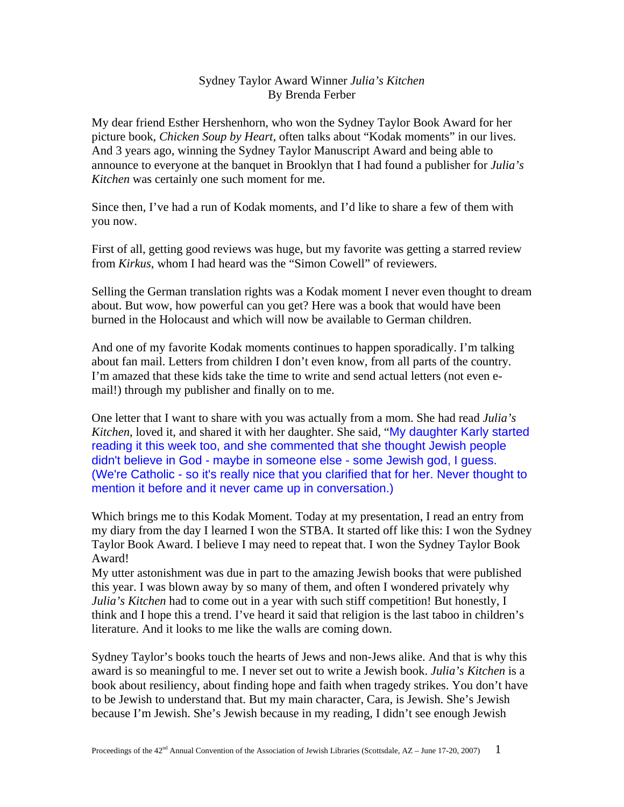## Sydney Taylor Award Winner *Julia's Kitchen* By Brenda Ferber

My dear friend Esther Hershenhorn, who won the Sydney Taylor Book Award for her picture book, *Chicken Soup by Heart*, often talks about "Kodak moments" in our lives. And 3 years ago, winning the Sydney Taylor Manuscript Award and being able to announce to everyone at the banquet in Brooklyn that I had found a publisher for *Julia's Kitchen* was certainly one such moment for me.

Since then, I've had a run of Kodak moments, and I'd like to share a few of them with you now.

First of all, getting good reviews was huge, but my favorite was getting a starred review from *Kirkus*, whom I had heard was the "Simon Cowell" of reviewers.

Selling the German translation rights was a Kodak moment I never even thought to dream about. But wow, how powerful can you get? Here was a book that would have been burned in the Holocaust and which will now be available to German children.

And one of my favorite Kodak moments continues to happen sporadically. I'm talking about fan mail. Letters from children I don't even know, from all parts of the country. I'm amazed that these kids take the time to write and send actual letters (not even email!) through my publisher and finally on to me.

One letter that I want to share with you was actually from a mom. She had read *Julia's Kitchen*, loved it, and shared it with her daughter. She said, "My daughter Karly started reading it this week too, and she commented that she thought Jewish people didn't believe in God - maybe in someone else - some Jewish god, I guess. (We're Catholic - so it's really nice that you clarified that for her. Never thought to mention it before and it never came up in conversation.)

Which brings me to this Kodak Moment. Today at my presentation, I read an entry from my diary from the day I learned I won the STBA. It started off like this: I won the Sydney Taylor Book Award. I believe I may need to repeat that. I won the Sydney Taylor Book Award!

My utter astonishment was due in part to the amazing Jewish books that were published this year. I was blown away by so many of them, and often I wondered privately why *Julia's Kitchen* had to come out in a year with such stiff competition! But honestly, I think and I hope this a trend. I've heard it said that religion is the last taboo in children's literature. And it looks to me like the walls are coming down.

Sydney Taylor's books touch the hearts of Jews and non-Jews alike. And that is why this award is so meaningful to me. I never set out to write a Jewish book. *Julia's Kitchen* is a book about resiliency, about finding hope and faith when tragedy strikes. You don't have to be Jewish to understand that. But my main character, Cara, is Jewish. She's Jewish because I'm Jewish. She's Jewish because in my reading, I didn't see enough Jewish